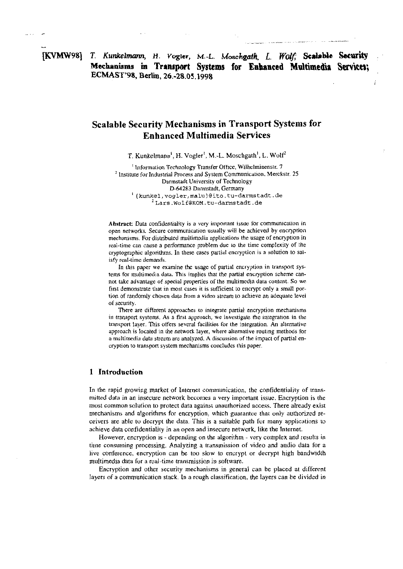İ

# [KVMW98] T. *Kunkelmann*, H. Vogter, M.-L. Moschgath, L. Wolf, Scalable Security **Meehnnisma in Trrnsport Systems for Enhanced Muitimedia** Services; ECMAST'98, Berlin, 26.-28.05.1998

# **Scalable Security Mechanisms in Transport Systems for Enhanced Multimedia Services**

T. Kunkelmann<sup>1</sup>, H. Vogler<sup>1</sup>, M.-L. Moschgath<sup>1</sup>, L. Wolf<sup>2</sup>

' Information Technology Transfer Office, Wilhelminenstr. 7  $2$  Institute for Industrial Process and System Communication. Merckstr. 25 Darmstadt University of Technology **D64283** Darmstadt, Germany ' **(kun~el,vogler,malul@ito.tu-darmstadt.de Lars.Wol£@KOll.tu-damstadt.de** 

Abstract: Data confidentiality is a very important issue for communication in open networks. Secure communication usually will be achieved by encryption mechanisms. For distnbuted multimedia applications the usage of encryption in rcal-time can cause a performance problem due to the time complexity of the cryptographic algorithms. In these cases partial encryption is a solution to satisfy real-time demands.

In this papcr we examine the usage of panial encryption in transport systems for multimedia data. This implies that the partial encryption scheme cannot take advantage of special properties of the multimedia data content. So we first demonstrate that in most cases it is sufficient to encrypt only a small portion of randomly chosen data from a video stream to achieve an adequate level of security.

There are different approaches to integrate partial encryption mechanisms in transport systems. As a first approach, we investigate the integration in the iransport layer. This oifers severd facilities for the integralion. **An** alternative approach is located in the network layer, **where** alternative routing methods for a multimedia data stream are analyzed. A discussion of the impact of partial encryption to transport system mechanisms concludes this paper.

## **1 Introduction**

In the rapid growing rnarket of Intcrnet communication, the confidentiality of transmitted data in an insecure network becomes a very impnrtant issue. Encryption **is** the most common solution to protecr data against unauthorized access. There alreadg exist rnechanismi and algorithms for encryption, which guarantce that only authorized receivers are able to dccrypt the data This is a suilable path fur many applications to achieve data confidentiality in an open and insecure network. like the Internet.

However, encryption is  $\sim$  depending on the algorithm - very complex and results in time consuming processing. Analyzing a transmission of video and audio data for a live conference, encryption can be too slow to encrypt or decrypt high bandwidth multimedia data for a real-time transmission in software.

Encryption and other security mechanisms in general can be placed at different layers of a communication stack. In a rough classification, the layers can be divided in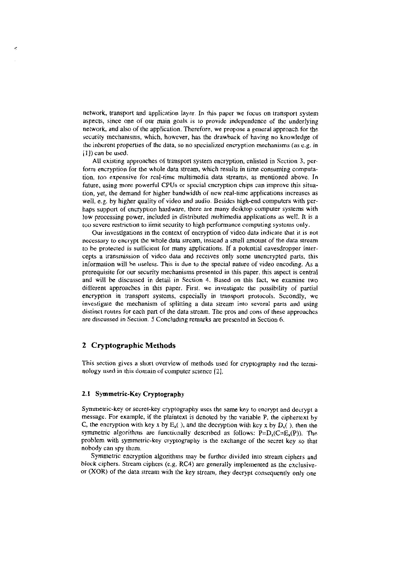network, Uansport and application layer. In lhis paper we focus on transport system aspects, since one of our main goals is to provide independence of the underlying network, and also of the application. Therefore, we propose a general approach for the security mechanisms, which, however, has the drawback of having no knowledge of ihe inherent properties of the data, so no specialized encryption mechanisms (as e.g. in  $[1]$ ) can be used.

All existing approaches of transport system encryption, enlisted in Section **3.** perform encryption for the whole data stream, which results in time consuming computation. too expensive for rcal-time multimedia data streams, as rnentioned above. In future, using more powerful CPUs or special encryption chips can improve this situation, yet, the demand for higher bandwidth of new real-time applications increases as well, e.g. by higher quality of video and audio. Besides high-end computers with perhaps support of encryption hardware, there are many desktop computer systems with low processing power, included in distrihuted multimedia applications as well. It is a too severe restriction to limit security to high performance computing systems only.

Our investigations in the context of encryption of video data indicate that it is not necessmy to cncrypt the whole data siream, instead a small amount of the data siream to he protected is sufficient for many applications. If a potential eavesdropper intercepts a transmission of vidco data and receives only some unencrypted parts, this information will he useless. This is due tu the special nature of video encoding. As a prerequisite for our security mechanisms presented in this paper, this aspect is central and will **be** discussed in detail in Section 4. Bascd on this fact, we examine two different approaches in this paper. First, we investigatc the possihility of partial encryption in transport systems, especially in transport protocols. Sccondly. we investigate the mechanism of splitting a data stream into several parts and using distinct routes for each part of the data stream. The pros and cons of these approaches are discussed in Section. 5 Concluding remarks are presented in Section *6.* 

## **2 Cryptographic Methods**

This section gives a shurl overview of methods used for cryptography and the terminology used in this domain of computer science [2].

#### 2.1 Symmetrie-Key Cryptography

Symmetric-key or secret-key cryptography uses the same key to encrypt and decrypt a message. For example, if the plaintext is denoted by the variable P, the ciphertext by C, the encryption with key x by  $E_x()$ , and the decryption with key x by  $D_x()$ , then the symmetric algorithms are functionally described as follows:  $P=D_x(C=E_x(P))$ . The problem with symmetric-key cryptography is the exchange of the secret key so that nobody can spy them.

Symmetric encryption algorithms may be furthcr divided into stream ciphers and block ciphers. Stream ciphers (e.g. RC4) are generally implemented as the exclusiveor (XOR) of the data stream with the key stream, they decrypt consequently only one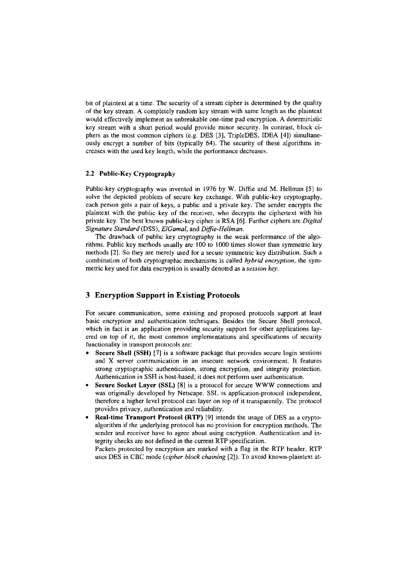bit of plaintext at a time. The security of a stream cipher is determined by the quality of the key stream. A completely random key stream with same length as the plaintext would effectively implement an unbreakable one-time pad encryption. A deterministic key stream with a short period would provide minor security. In contrast, block ciphers as the most common ciphers (e.g. DES [3], TripleDES, IDEA [4]) simultaneously encrypt a nurnber of bits (typically 64). The security of these algorithms increases with the used key length, while the performance decreases.

## 2.2 Public-Key Cryptography

Public-key cryptography was invented in 1976 by W. Diffie and M. Hellman **[5]** to solve the depicted problem of secure key exchange. With public-key cryptography, each Person gets a pair of keys, a public and a private key. The sender encrypts the plaintext with the public key of the receiver, who decrypts the ciphertext with his private key. The best known public-key cipher is RSA [6]. Further ciphers are *Digital Signature Siandard* (DSS), *EIGamal,* and *Difle-Hellman.* 

The drawback of public key cryptography is the weak performance of the algorithms. Public key rnethods usually are 100 to 1000 times slower than symmetric key methods [Z]. So they are rnerely used for *a* secure symmetric key distribution. Such a combination of both cryptographic mechanisms is called *hybrid encryption*, the symmetric key used for data encryption is usually denoted as *asession key.* 

## **3 Encryption Support in Existing Protocols**

For secure communication, some existing and proposed protocols support at least basic encryption and authentication techniques. Besides the Secure Shell protocol, which in fact is an application providing security support for other applications layered on top of it, lhe rnost common implementations and specifications of security hnctionality in transport protocols are:

- Secure Shell (SSH) (71 is a software package that provides secure login sessions and X server communication in an insecure network environment. It features strong cryptographic authentication. strong encryption, and integrity protection. Authentication in SSH is host-based; it does not perform User authentication.
- Secure Socket Laycr (SSL) **[8]** is a protocol for secure WWW connections and was originally developed by Netscape. SSL is application-protocol independent, therefore a higher level protocol can layer on top of it transparently. The protocol provides privacy. authentication and reliability.
- Real-time Transport Protocol **(RTP)** [9] intends the usage of DES as a cryptoalgorithm if the underlying protocol has no provision for encryption methods. The sender and receiver have to agree about using encryption. Authentication and integrity checks are not defined in the current RTP specification.

Packets protected by encryption are marked with a flag in the RTP header. RTP uses DES in CBC mode *(cipher block chaining* [Z]). To avoid known-plaintext at-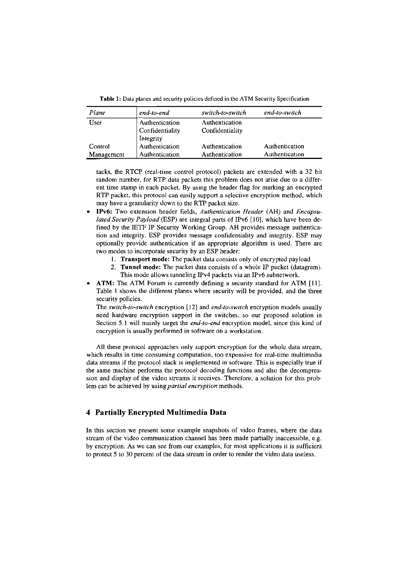Table 1: Data planes and security policies defined in the ATM Security Specification

| Plane      | end-to-end      | switch-to-switch | end-to-switch  |
|------------|-----------------|------------------|----------------|
| User       | Authentication  | Authentication   |                |
|            | Confidentiality | Confidentiality  |                |
|            | Integrity       |                  |                |
| Control    | Authentication  | Authentication   | Authentication |
| Management | Authentication  | Authentication   | Authentication |

tacks, the RTCP (real-time control protocol) packets are extended with **a** 32 bit random number, for RTP data packets this problem does not arise due to a different time stamp in each packet. By using the header flag for marking an encrypted RTP packet, this protocol can easily support a selective encryption method, which may have a granularity down to the RTP packet size.

- **IPv6:** Two extension header fields, *Authentication Header* (AH) and *Encapsulated Security Payload* (ESP) are integral parts of IPv6 [10], which have been defined by the IETF IP Security Working Group. AH provides message authentication and integrity. ESP provides message confidentiality and integrity. ESP may optionally provide authentication if an appropriate algorithm is used. There are two modes to incorporate security by an ESP header:
	- 1. **Transport mode:** The packet data consists only of encrypted payload
	- 2. **Tunnel mode:** The packet data consists of a whole IP packet (datagram). This mode allows iunneling IPv4 packets via an IPv6 subnetwork.
- **ATM:** The ATM Forum is currently defining a security standard for ATM [11]. Table 1 shows the different planes where security will be provided, and the three security policies.

The *swirch-ro-wirch* encryption **[I21** and *end-10-swirch* encryption models usually need hardware encryption support in the switches. so our proposed solution in Section 5.1 will mainly target the *end-ro-end* encryption model, since this kind of encryption is usually performed in software on a workstation.

All these protocol approaches only support encryption for the whole data stream, which results in time consuming computation, too expensive for real-time multimedia data streams if the protocol stack is implemented in software. This is especially true if the same machine performs the protocol decoding functions and also ihe decompression and display of the video streams it receives. Therefore, a solution for this problem can be achieved by using *partial encryption* methods.

## **4 Partially Encrypted Multimedia Data**

In this section we present some example snapshots of video frames, where the data stream of the video communication channel has been made panially inaccessible, e.g. by encryption. As we can see from our examples, for most applications it 1s sufficient to protect 5 to 30 percent of the data stream in order to render the video data useless.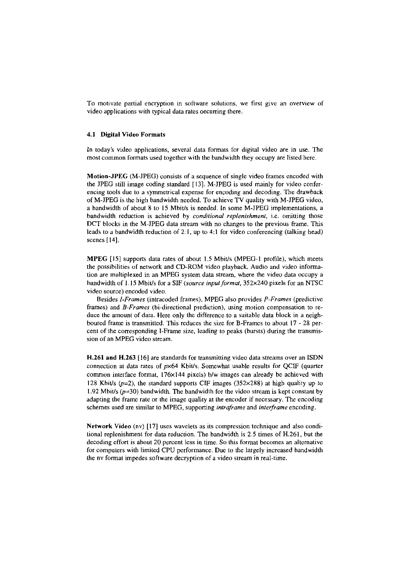To motivate partial encryption in software solulions, we first give an overview ot video applications with typical data rates oecuming there.

#### 4.1 Digital Video Formats

In today's video applications, several data formats for digital video are in use. The most common formats used together with the bandwidth they occupy are listed here.

Motion-JPEG (M-JPEG) consists of a sequence of single video frames encoded with the JPEG still image coding standard [13]. M-JPEG is used mainly for video conferencing tools due to a symmetrical expense for encoding and decoding. The drawback of M-JPEG is the high bandwidth needed. To achieve TV quality with M-JPEG video, a bandwidth of about 8 to 15 Mbit/s is needed. In some M-JPEG implementations, a bandwidth reduction is achieved by *condirional replenishment,* i.e. omitting those DCT blocks in the M-JPEG data stream with no changes to the previous frame. This leads to a bandwidth reduction of 2:1, up to 4:1 for video conferencing (talking head) scenes [14].

MPEG [I51 supports data rates of about 1.5 Mbit/s (MPEG-1 profile), which meets the possibilities of network and CD-ROM video playback. Audio and video information are multiplexed in an MPEG system data stream, where the video data occupy a bandwidth of 1.15 Mbitls for a SIF *(source input formal,* 352x240 pixels for an NTSC video source) encoded video.

Besides *I-Frames* (intracoded frames). MPEG also provides *P-Frames* (predictive frames) and *B-Frames* (bi-directional prediction), using motion compensation to reduce the amount of data. Here only the difference to a suitable data block in a neighboured frame is transmitted. This reduces the size for B-Frames to about 17 - 28 percent of the corresponding I-Frame size, leading to peaks (bursts) during the transmission of an MPEG video stream.

H.261 and H.263 [16] are standards for transmitting video data streams over an ISDN connection at data rates of  $p \times 64$  Kbit/s. Somewhat usable results for QCIF (quarter common interface format, 176x144 pixels) blw images can already be achieved with 128 Kbit/s ( $p=2$ ), the standard supports CIF images (352×288) at high quality up to 1.92 Mbit/s  $(p=30)$  bandwidth. The bandwidth for the video stream is kept constant by adapting the frame rate or the image quality at the encoder if necessary. The encoding schemes used are similar to MPEG, supporting *intraframe* and *interframe* encoding.

Network Video (nv) [17] uses wavelets as its compression technique and also condilional replenishment for data reduction. The bandwidth is 2.5 times of H.261, but the decoding effort is about 20 percent less in time. So this format becomes an alternative for computers with limited CPU performance. Due to the largely increased bandwidth the nv format impedes software decryption of a video stream in real-time.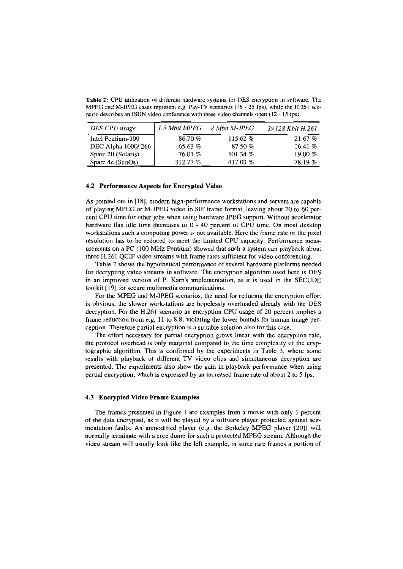Table 2: CPU utilization of different hardware Systems for **DES** encryption in software. The **MPEG** 2nd **M-JPEG** cases represent e.g. **Pay-TV** scenarios (16 - 25 fps), while the H.261 scenario describes an ISDN video conference with three video channels Open (I2 - 15 fps).

| DES CPU usage      | 1.5 Mbit MPEG | <i>2 Mbit M-JPEG</i> | 3×128 Kbit H.261 |
|--------------------|---------------|----------------------|------------------|
| Intel Pentium-100  | 86.70%        | 115.62%              | 21.67%           |
| DEC Alpha 1000/266 | 65.63%        | 87.50%               | 16.41%           |
| Sparc 20 (Solaris) | 76.01%        | $101.34\%$           | 19.00 $%$        |
| Sparc 4c (SunOs)   | 312.77 $%$    | 417.03 $%$           | 78.19%           |

#### 4.2 Performance Aspects for Encrypted Video

As pointed out in [18], modern high-performance workstations and servers are capable of playing MPEG or M-JPEG video in SlF frame formal, leaving about 20 to 60 per-Cent CPU time for other jobs when using hardware JPEG support. Without accelerator hardware this idle time decreases to 0 - 40 percent of CPU time. On most desktop workstations such a computing power is not available. Here the frame rate or the pixel resolution has to be reduced to meet the limited CPU capacity. Performance measurements on a PC (100 MHz Pentium) showed that such a system can playback about three H.261 QCIF video streams with frame rales sufficient for video conferencing.

Table 2 shows the hypothetical performance of several hardware platforms needed for decrypting video streams in software. The encryption algorithm used here is DES in an improved version of P. Karn's implementation, as it is used in the SECUDE toolkit [19] for secure multimedia communications.

For the MPEG and M-JPEG scenarios, the need for reducing the encryption effort is obvious, the slower workstations are hopelessly overloaded already with the DES decryption. For the H.261 scenario an encryption CPU usage of 20 percent implies a frame reduction from e.g. 11 to 8.8, violating the lower bounds for human image perception. Therefore partial encryption is a suitable solution also for this case.

The effort necessary for partial encryption grows linear with the encryption rate. the protocol overhead is only marginal compared to the time complexity of the cryptographic algorithm. This is confirmed by the experiments in Table 3, where some results with playback of different TV video clips and simultaneous decryption are presented. The experiments also show the gain in playback perfonnance when using panial encryption, which is expressed by an increased frame rate of about 2 to 5 fps.

#### 4.3 Encrypted Video Frame Examples

The frames presented in Figure **1** are examples from a movie with only 1 percent of the data encrypted, as it will be played by a software player protected against segmentation faults. An unmodified player (e.g. the Berkeley MPEG player [20]) will normally terminale with a core dump for such a protected MPEG stream. Although the video stream will usually look like the left example. in some rare frames a portion of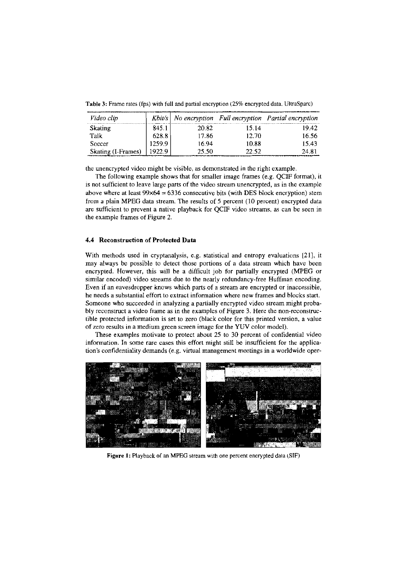Table **3:** Frame rates (fps) with full and partial encryption (25% encrypted data. UltraSparc)

| Video clip         |        |       |       | $Kbit/s$ No encryption Full encryption Partial encryption |
|--------------------|--------|-------|-------|-----------------------------------------------------------|
| Skating            | 845.1  | 20.82 | 15.14 | 19.42                                                     |
| Talk               | 628.8  | 17.86 | 12.70 | 16.56                                                     |
| Soccer             | 1259.9 | 16.94 | 10.88 | 15.43                                                     |
| Skating (I-Frames) | 1922.9 | 25.50 | 22.52 | 24.81                                                     |

the unencrypted video might **be** visible, as demonstrated in the right example.

The following example shows that for smaller image frames (e.g. QCIF formal), it is not sufficient to leave large parts of the video stream unencrypted, as in the example above where at least **99x64** = 6336 consecutive bits (with **DES** block encryption) stem from a plain **MPEG** data stream. The results of 5 percent (10 percent) encrypted data are sufficient to prevent a native playhack for QCIF video streams, as can be Seen in the example frames of Figure 2.

## 4.4 Reconstruction of Protected **Data**

With methods used in cryptanalysis, e.g. statistical and entropy evaluations [21], it may always be possible to detect those portions of a data stream which have been encrypted. However, this will be a difficult job for partially encrypted **(MPEG** or similar encoded) video streams due to the nearly redundancy-free Huffman encoding. Even if an eavesdropper knows which parts of a stream are encrypted or inaccessible, he needs a substantial effon to extract information where new frames and blocks stan. Someone who succeeded in analyzing a partially encrypted video stream might prohably reconsrruct a video frame **as** in the examples of Figure 3. Herr the non-reconstructihle protected information is set to zero (black color for this printed version, a value of Zero results in a medium green screen image for the YUV color model).

These examples motivate to protect about 25 to 30 percent of confidential video information. In some rare cases this effort might still be insufficient for the application's confidentiality demands (e.g. virtual management meetings in a worldwide oper-



Figure 1: Playback of an MPEG stream with one percent encrypted data (SIF)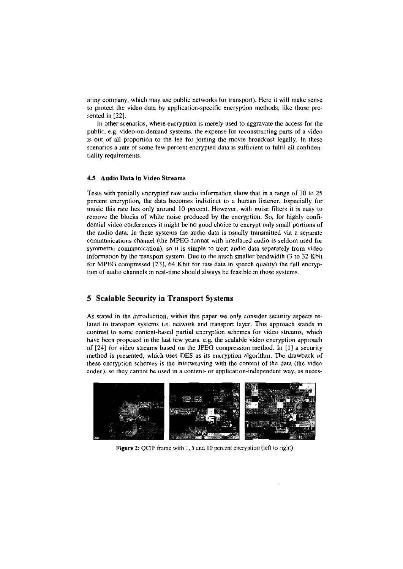ating company, which may use public networks for transport). Here it will make sense to protect the video data by application-specific encryption methods, like those presented in **[22].** 

In other scenarios, where encryption is merely used to aggravate the access for the public, e.g. video-on-demand systems, the expense for reconstructing parts of a video is out of all proportion to the fee for joining the movie broadcast legally. In these scenarios a rate of some few percent encrypted data is sufticient to fulfil all confidentiality requirements.

### 4.5 Audio **Data** in Video **Streams**

Tests with partially encrypted raw audio information show that in a range of 10 to *25*  percent encryption, the data becomes indistinct ro a human listener. Especially for music this rate lies only around 10 percent. However, with noise filters it is easy to remove the blocks of white noise produced by the encryption. So, for highly confidential video conferences it might be no good choice to encrypt only small portions of the audio data. In these Systems the audio data is usually transmitted via a separate communications channel (the MPEG format with interlaced audio is seldom used for symmetric communication), so it **is** simple to treat audio data separately from video information by the transport System. Due to the niuch smaller bandwidth (3 ro **32** Kbit for MPEG compressed [23], 64 Kbit for raw data in speech quality) the full encryption of audio channels in real-time should always be feasible in those systems.

## **5 Scalable Security in Transport Systems**

As stated in the introduction, within this paper we only consider security aspects related to transport systems i.e. network and transport layer. This approach stands in contrast to some content-based partial encryption schemes for video streams, which have been proposed in the last few years, e.g. the scalable video encryption approach of [24] for video streams based on the JPEG compresston method. In **[I]** a security method is presented, which uses DES as its encryption algorithm. The drawback of these encryption schemes is the interweaving with the content of the data (the video codec), so they cannot **be** used in a content- or application-independent way, as neces-



Figure 2: **QClF** frame wirh I, **5** and 10 percent encryption (left to right)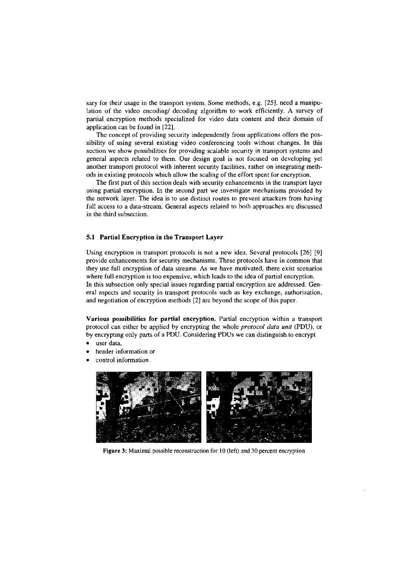sary for their usage in the transport system. Some methods, e.g. [25], need a manipulation of the video encoding/ decoding algorithm to work efficiently. A survey of partial encryption methods specialized for video data content and their domain of application can be found in **1221.** 

The concept of providing security independently from applications offers the possibility of using several existing video conferencing tools without changes. In this section we show possibilities for providing scalable security in transport systems and general aspects related to them. Our design goal is not focused on developing yet another transport protocol with inherent security facilities, rather on integrating methods in existing protocols which allow the scaling of the effort spent for encryption.

The first part of this section deals with security enhancements in the transport layer using partial encryption. In the second part we investigate mechanisms provided hy the network layer. The idea is to use distinct routes io preveni attackers from having full access to a data-stream. General aspects related to boih approaches are discussed in the third subsection.

#### 5.1 Partial Encryption in the Transport Layer

Using encryption in transport protocols is not a new idea. Several protocols **[26] [9]**  provide enhancements for security mechanisms. These protocols have in common that they use full encryption of data streams. As we have motivated, there exist scenarios where full encryption is too expensive, which leads to the idea of partial encryption. In this subsection only special issues regarding partial encryption are addressed. General aspects and security in transport protocols such as key exchange, authorization, and negotiation of encryption methods [2] are beyond the scope of this paper.

Various possibilities for partial encryption. Partial encryption within a transport protocol can either be applied hy encrypting the whole *protocol data unit* (PDU), or by encrypting only parts of a PDU. Considering PDUs we can distinguish to encrypt

- User data,
- header information or
- control information.



Figure 3: Maximal possible reconstmction for I0 (left) **and** 30 percent encryption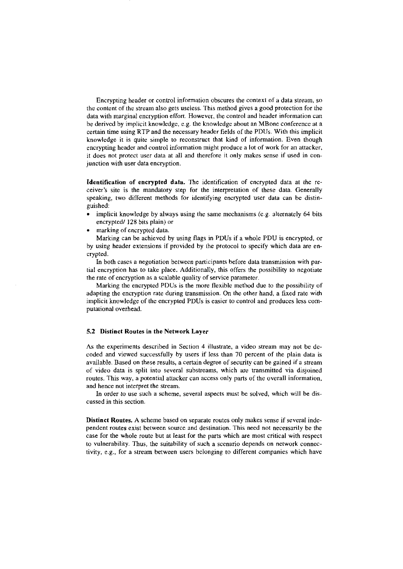Encrypting header or control information obscures the context of a data stream, so the content of the stream also gets useless. This method gives a good protection for the data with marginal encryption effort. However, the control and header information can be derived by implicit knowledge, e.g. the knowledge about an MBone conference at a certain time using RTP and the necessary header fields of the PDUs. With this implicit knowledge it is quite simple to reconstruct that kind of information. Even though encrypting header and control information might produce a lot of work for an attacker, it does not protect User data at all and therefore it only makes sense if used in conjunction with user data encryption.

**Identification of encrypted data.** The identification of encrypted data at the receiver's site is the mandatory step for the interpretation of these data. Generally speaking, two different methods for identifying encrypted user data can be distinguished:

- implicit knowledge by always using the same mechanisms (e.g. alternately 64 bits encrypted/ 128 bits plain) or
- marking of encrypted data.

Marking can be achieved by using Hags in PDUs if a whole PDU is encrypted, or by using header extensions if provided by the protocol to specify which data are encrypted.

In both cases a negotiation between participants before data transmission with partial encryption has to take place. Additionally, this offers the possibility to negotiate the rate of encryption as a scalable quality of service parameter.

Marking the encrypted PDUs is the more flexible method due to the possibility of adapting the encryption rate during transmission. On the other hand. a fixed rate with implicit knowledge of the encrypted PDUs is easier to control and produces less computational overhead.

## **5.2 Distinct Routes in the Network Layer**

As the experiments described in Section 4 illustrate, a video stream may not be decoded and viewed successfully hy users if less than 70 percent of ihe plain data is available. Based on these results, a certain degree of security can be gained if a stream of video data is splil into several substreams, which are transmitted via disjoined routes. This way, a potential attacker can access only parts of the overall information, and hence not interpret the stream.

In order to use such a scheme, several aspects must be solved, which will be discussed in this section.

**Distinct Routes.** A scheme based on separate routes only makes sense if several independent routes exist between source and destination. This need not necessarily be the case for the whole route but at least for the parts which are most critical with respect to vulnerabiliiy. Thus, the suitability of such a Scenario depends on network connectivity, e.g., for a stream between users belonging to different companies which have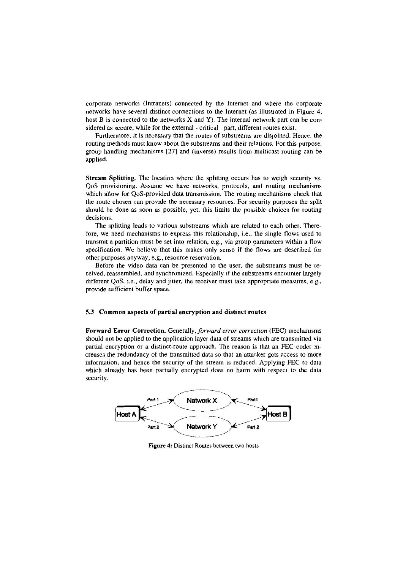corporate networks (Intranets) connected by the lnternet and where the corporate networks have several distinct conneciions to the lnternet (as illustrated in Figure 4; host B is connected to the networks  $X$  and  $Y$ ). The internal network part can be considered as secure, while for the external - critical - part, different roules exist.

Furthermore, it is necessary that the routes of substreams are disjoined. Hence, the routing methods must know about the substreams and their relations. For this purpose, group handling mechanisms **[27]** and (inverse) results from multicast routing can be applied.

**Stream Splitting.** The location where the splitting occurs has to weigh security vs. QoS provisioning. Assume we have networks, protocols, and routing mechanisms which allow for QoS-provided data transmission. The routing mechanisms check that the route chosen can provide the necessary resources. For security purposes the split should be done as soon as possible, yet. this limits the possible choices for routing decisions.

The splitting leads to various substreams which are related to each olher. Therefore, we need mechanisms to express this relationship, i.e., the single flows used to transmit a partition must be set into relation, e.g., via group parameters within a flow specification. We believe that this makes only sense if the flows are described for other purposes anyway, e.g.. resource reservation.

Before the video data can be presented to the user, the substreams must be received. reassembled, and synchronized. Especially if the substreams encounier largely different QoS, i.e., delay and jitter, the receiver must take appropriate measures, e.g., provide sufficient buffer space.

## **5.3 Common aspects of partial encryption and distinct routes**

**Forward Error Correction.** Generally, *fonvard error correction* (FEC) mechanisms should not be applied to the application layer data of streams which are transmitted via partial encryption or a distinct-route approach. The reason is that an FEC coder increases the redundancy of the transmitted data so that an attacker gets access to more information, and hence the security of the stream is reduced. Applying FEC to data which already has been partially encrypted does no harm with respeci io ihe data security.



**Figure 4:** Distinct Routes between two hosts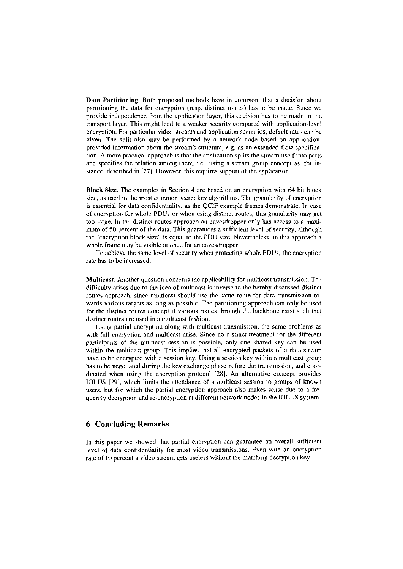Data Partitioning. Both proposed methods have in common, that a decision about partitioning the data for encryption (resp. distinct routes) has to be made. Since we provide independence from the application layer, this decision has to be made in the transport layer. This might lead to a weaker security compared with application-level encryption. For particular video streams and application scenarios, default rates can be given. The split also may be performed by a network node based on applicationprovided information about the stream's structure, e.g. as an extended flow specification. A rnore practical approach is that the application splits the stream itself into parts and specifies the relation among them. i.e., using a stream group concept as, for instance, described in **[27].** However, fhis requires support of the application.

Block **Size.** The examples in Section 4 are based on an encryption with 64 bit block size, as used in the most common secret key algorithms. The granularity of encryption is essential for data confidentiality, as the QClF example frames demonstrate. In case of encryption for whole PDUs or when using distinct routes, this granularity may get too large. In the distinct routes approach an eavesdropper only has access to a maximum of 50 percent of the data. This guarantees a sufficient level of security, although the "encryption block size" is equal to the PDU size. Nevertheless. in this approach a whole frame may be visible at once for an eavesdropper.

To achieve the same level of secunty when protecting whole PDUs, the encryption rate has to be increased.

Multicast. Another question concerns the applicability for multicast transmission. The difficulty arises due to the idea of multicast is inverse to the hereby discussed distinct routes approach, since multicast should use the same route for data transmission towards various targets as long as possible. The partitioning approach can only be used for the distinct routes concept if various routes through the backbone exist such that distinct routes are used in a multicast fashion.

Using partial encryption along with multicast transmission, the same problems as with full encryption and multicast arise. Since no distinct treatment for the different participants of the multicast session is possible, only one shared key can be used within the multicast group. This implies that all encrypted packets of a data stream have to be encrypted with a session key. Using a session key within a multicast group has to be negotiated during the key exchange phase before the transmission, and coordinated when using the encryption protocol **[28].** An alternative concept provides IOLUS **[29],** which limits the attendance of a multicast session to groups of known users, but for which the partial encryption approach also makes sense due to a frequently decryption and re-encryption at different network nodes in the IOLUS System.

## **6 Concluding Remarks**

In this paper we showed that partial encryption can guarantee an overall sufficient level of data confidentiality for most video transmissions. Even with an encryption rate of 10 percent a video stream gets useless without the matching decryption key.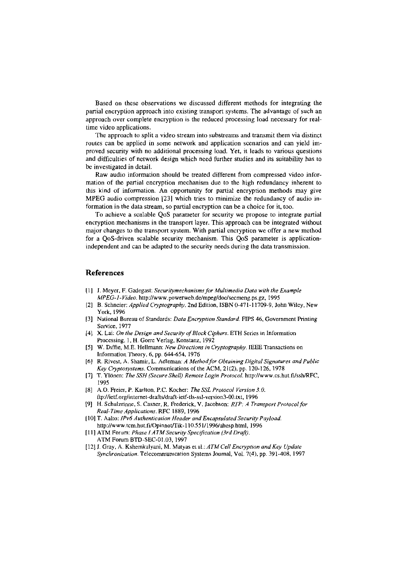Based on these observations we discussed different methods for integrating the partial encryption approach into existing transport systems. The advantage of such an approach over complete encryption is the reduced processing load necessary for realtime video applications.

The approach to split a video stream into substreams and transmit them via distinct routes can be applied in some network and application scenarios and can yield improved security with no additional processing load. Yet, it leads to various questions and difficulties of network design which need further studies and its suitability has to **be** investigated in detail.

Raw audio information should be treated different from compressed video information of the partial encryption mechanism due to the high redundancy inherent to this kind of information. An opportunity for partial encryption methods may give MPEG audio compression **1231** which tries to minimize the redundancy of audio information in the data siream, so partial encryption can be a choice for it, too.

To achieve a scalable OoS parameter for security we propose to integrate partial encryption mechanisms in the transport layer. This approach can be integrated without major changes to the transport System. With partial encryption we offer a new method for a QoS-driven scalable security mechanism. This QoS parameter is applicationindependent and can be adapted to the security needs during the data transmission.

## **References**

- [1] J. Meyer, F. Gadegast: *Securitymechanisms for Multimedia Data with the Example MPEG-1-Video. http://www.powerweb.de/mpeg/doc/secmeng.ps.gz, 1995*
- [2] B. Schneier: *Applied Cryptography.* 2nd Edition, ISBN 0-471-11709-9, John Wiley, New York. 1996
- [3] National Bureau of Standards: *Daia Encyplion Siandord.* FiPS 46, Government Printing Service, 1977
- [4] X. Lai: *On the Design and Security of Block Ciphers*. ETH Series in Information Processing, 1, H. Gorre Verlag, Konstanz, 1992
- [5] W. Diftie, M.E. Hellmann: *New Direciions in C,yptography.* IEEE Transactions on Information Theory, 6, **pp.** 654-654, 1976
- [61 R. Rivest, **A.** Shamir, L. Adleman: *A Methodfor Obroining Digit01 Signoiures ondpublic Key Cyprosysrems.* Communications of the ACM, 21(2), **pp.** 120.126. 1978
- [7] T. Ylönen: *The SSH (Secure Shell) Remote Login Protocol.* http://www.cs.hut.fi/ssh/RFC, 1995
- [8] A.O. Freier, P. Karlton, P.C. Kocher: *The SSL Protocol Version 3.0. ftp://ietf.org/internet-drafts/draft-ietf-tls-ssl-version3-00.txt.* 1996
- [9] H. Schulrrinne, S. Casner, R. Frederick. V. Jacobson: *RTP: A Transport Prolocolfor Real-Time Applicorions.* RFC 1889, 1996
- (I01 T. Aalto: *IPv6 Aulheniicorian Heoder ondEncapsuloledSecurify Poylood.*  **http://www.tcm.hut.fi/Opinno~ik-l10.551/1996/ahesp.html,** 1996
- [11] ATM Forum: *Phase I ATM Security Specification (3rd Draft)*. ATM Forum BTD-SEC-01.03, 1997
- [I21 J. Gray, A. Kshemkalyani. M. Matyas et *al.:ATMCellEncyplian andKey Updoie Synchronizalion.* Telecommunication Systems Joumal, Vol. 7(4), pp. 391-408, 1997